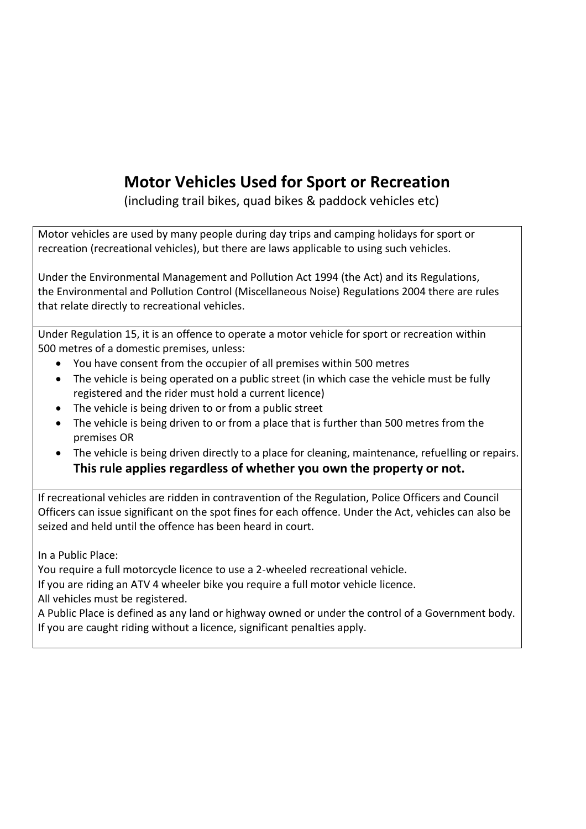# **Motor Vehicles Used for Sport or Recreation**

(including trail bikes, quad bikes & paddock vehicles etc)

Motor vehicles are used by many people during day trips and camping holidays for sport or recreation (recreational vehicles), but there are laws applicable to using such vehicles.

Under the Environmental Management and Pollution Act 1994 (the Act) and its Regulations, the Environmental and Pollution Control (Miscellaneous Noise) Regulations 2004 there are rules that relate directly to recreational vehicles.

Under Regulation 15, it is an offence to operate a motor vehicle for sport or recreation within 500 metres of a domestic premises, unless:

- You have consent from the occupier of all premises within 500 metres
- The vehicle is being operated on a public street (in which case the vehicle must be fully registered and the rider must hold a current licence)
- The vehicle is being driven to or from a public street
- The vehicle is being driven to or from a place that is further than 500 metres from the premises OR
- The vehicle is being driven directly to a place for cleaning, maintenance, refuelling or repairs. **This rule applies regardless of whether you own the property or not.**

If recreational vehicles are ridden in contravention of the Regulation, Police Officers and Council Officers can issue significant on the spot fines for each offence. Under the Act, vehicles can also be seized and held until the offence has been heard in court.

In a Public Place:

You require a full motorcycle licence to use a 2-wheeled recreational vehicle.

If you are riding an ATV 4 wheeler bike you require a full motor vehicle licence.

All vehicles must be registered.

A Public Place is defined as any land or highway owned or under the control of a Government body. If you are caught riding without a licence, significant penalties apply.